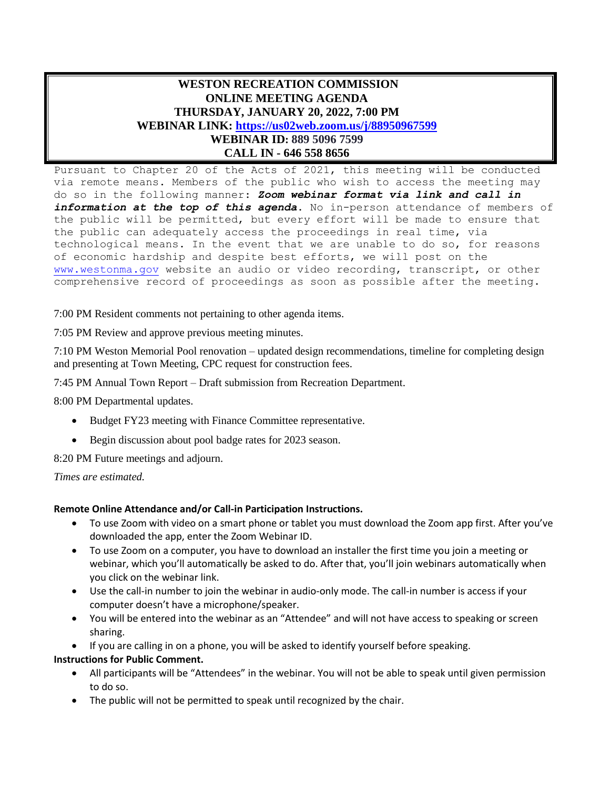## **WESTON RECREATION COMMISSION ONLINE MEETING AGENDA THURSDAY, JANUARY 20, 2022, 7:00 PM WEBINAR LINK: <https://us02web.zoom.us/j/88950967599> WEBINAR ID: 889 5096 7599**

## **CALL IN - 646 558 8656** Pursuant to Chapter 20 of the Acts of 2021, this meeting will be conducted

via remote means. Members of the public who wish to access the meeting may do so in the following manner: *Zoom webinar format via link and call in information at the top of this agenda*. No in-person attendance of members of the public will be permitted, but every effort will be made to ensure that the public can adequately access the proceedings in real time, via technological means. In the event that we are unable to do so, for reasons of economic hardship and despite best efforts, we will post on the [www.westonma.gov](http://www.westonma.gov/) website an audio or video recording, transcript, or other comprehensive record of proceedings as soon as possible after the meeting.

7:00 PM Resident comments not pertaining to other agenda items.

7:05 PM Review and approve previous meeting minutes.

7:10 PM Weston Memorial Pool renovation – updated design recommendations, timeline for completing design and presenting at Town Meeting, CPC request for construction fees.

7:45 PM Annual Town Report – Draft submission from Recreation Department.

8:00 PM Departmental updates.

- Budget FY23 meeting with Finance Committee representative.
- Begin discussion about pool badge rates for 2023 season.

8:20 PM Future meetings and adjourn.

*Times are estimated.*

## **Remote Online Attendance and/or Call-in Participation Instructions.**

- To use Zoom with video on a smart phone or tablet you must download the Zoom app first. After you've downloaded the app, enter the Zoom Webinar ID.
- To use Zoom on a computer, you have to download an installer the first time you join a meeting or webinar, which you'll automatically be asked to do. After that, you'll join webinars automatically when you click on the webinar link.
- Use the call-in number to join the webinar in audio-only mode. The call-in number is access if your computer doesn't have a microphone/speaker.
- You will be entered into the webinar as an "Attendee" and will not have access to speaking or screen sharing.
- If you are calling in on a phone, you will be asked to identify yourself before speaking.

## **Instructions for Public Comment.**

- All participants will be "Attendees" in the webinar. You will not be able to speak until given permission to do so.
- The public will not be permitted to speak until recognized by the chair.